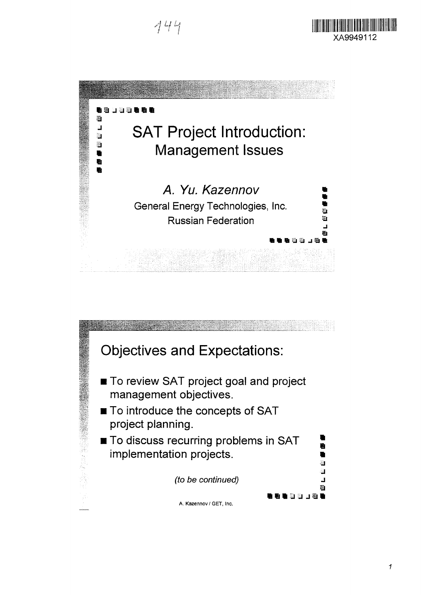444





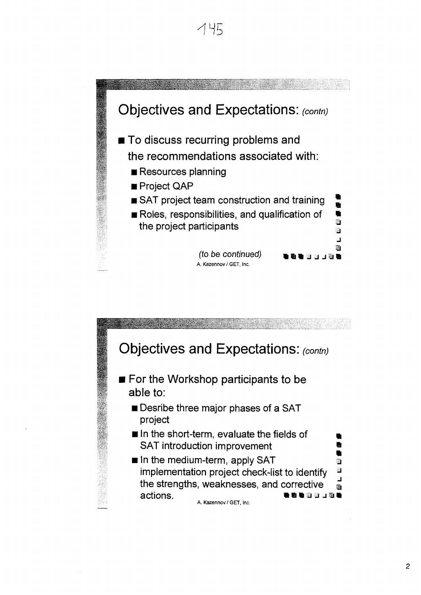

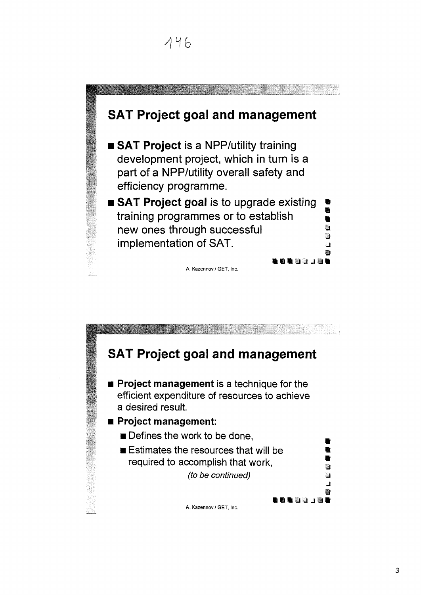# **SAT Project goal and management • SAT Project** is a NPP/utility training development project, which in turn is a part of a NPP/utility overall safety and efficiency programme.  $\blacksquare$  **SAT Project goal is to upgrade existing** training programmes or to establish \* new ones through successful  $\qquad \qquad \bullet$ implementation of SAT. A. Kazennov/GET, Inc.

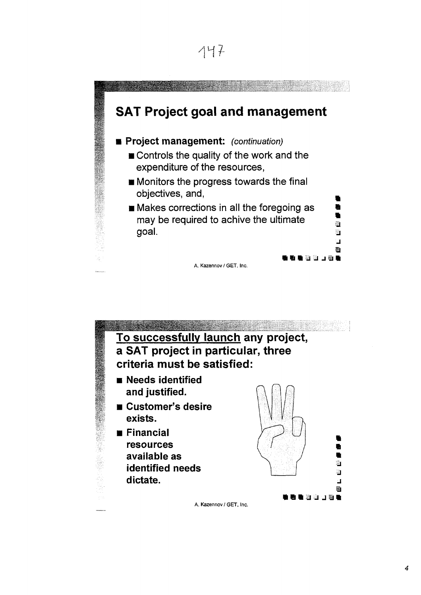|  | ,<br>ł |  |
|--|--------|--|
|--|--------|--|



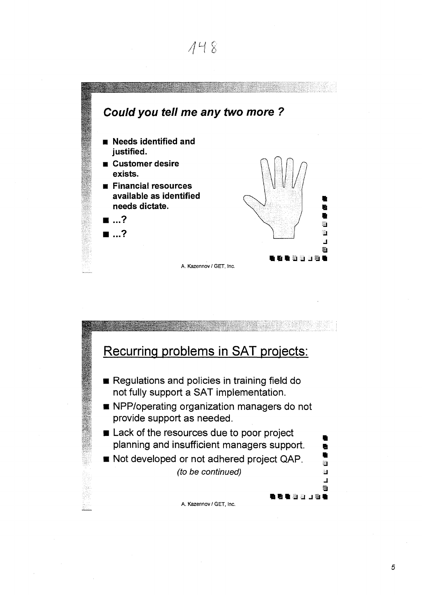

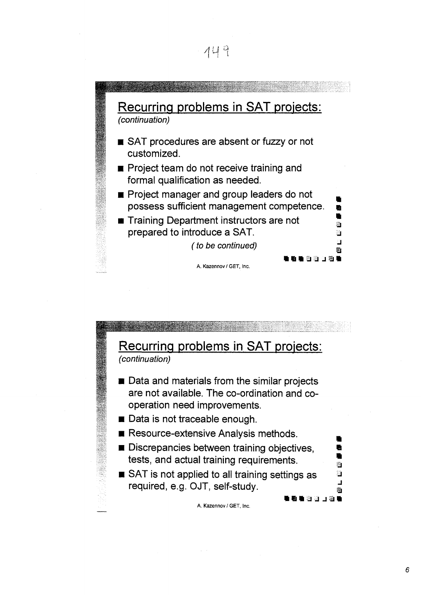



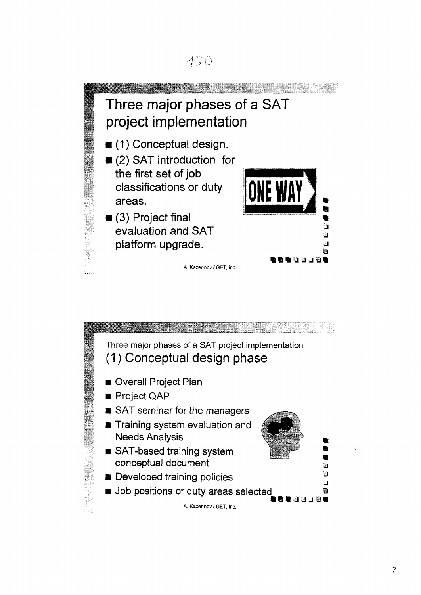

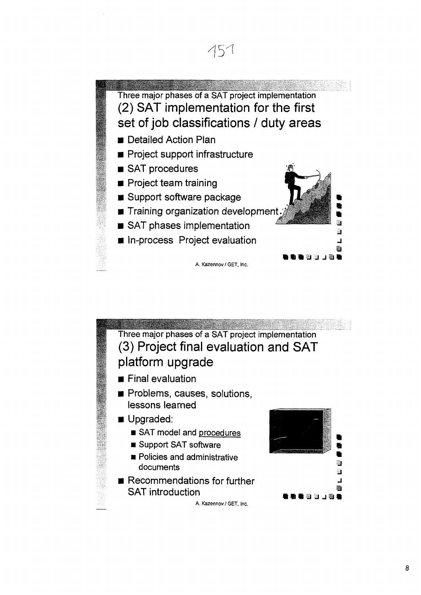

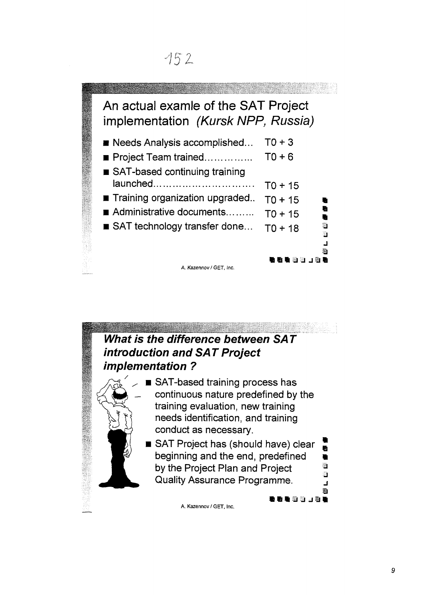## **1**J

**A.**

### An actual examie of the SAT Project implementation (Kursk NPP, Russia) **• Needs Analysis accomplished...**  $TO + 3$ • Project Team trained TO+ 6 ■ SAT-based continuing training launched TO + 15 **Training organization upgraded.** T0 + 15 Administrative documents.........  $TO + 15$  $\blacksquare$  **SAT technology transfer done...**  $\top$ <sub>0</sub> + 18 li<br>E<br>**f**riefferf A. Kazennov / GET, Inc.

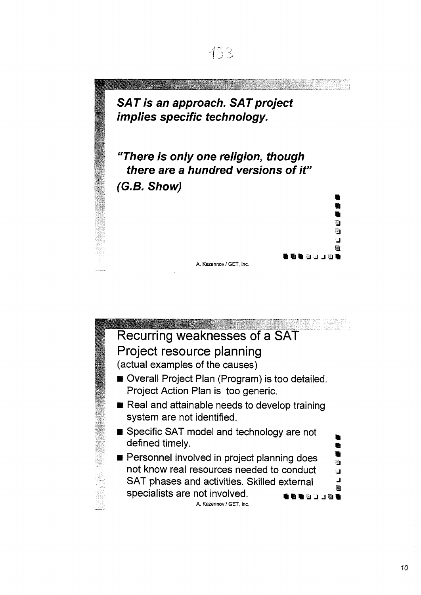**SAT is an approach. SAT project implies specific technology.**

**"There is only one religion, though there are a hundred versions of it" (G.B. Show)**

A. Kazennov / GET, Inc.



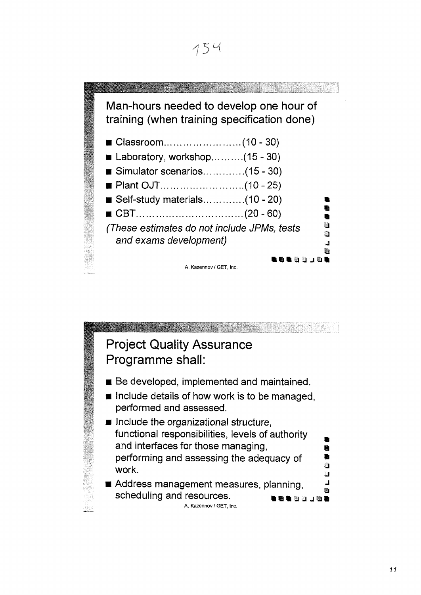

#### Man-hours needed to develop one hour of training (when training specification done) • Classroom (10-30)  $\blacksquare$  Laboratory, workshop...........(15 - 30)  $\blacksquare$  Simulator scenarios..............(15 - 30) • Plant OJT (10-25)  $\blacksquare$  Self-study materials..............(10 - 20) • CBT (20-60) *I* (These estimates do not include JPMs, tests<sup>J</sup> and exams development) **i n J J JJI** A. Kazennov / GET, Inc.

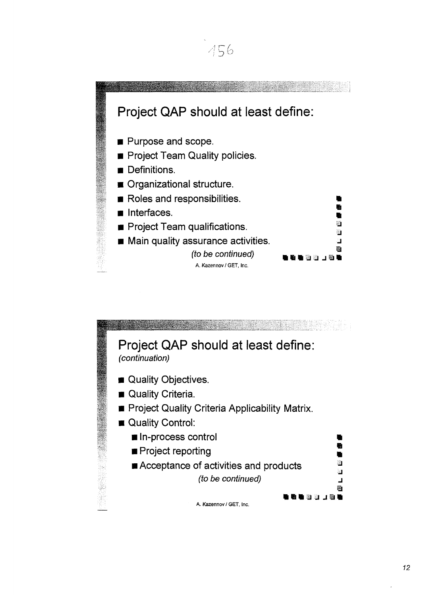

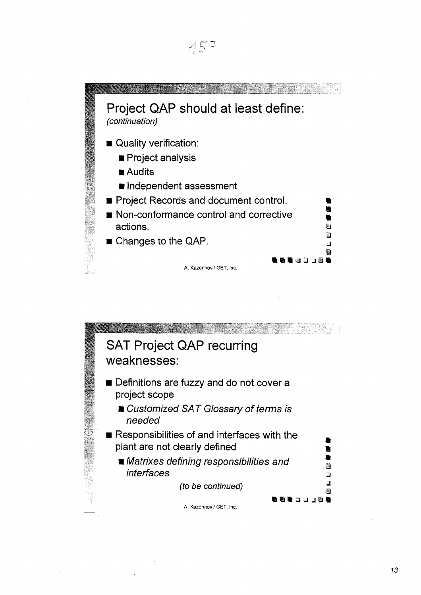

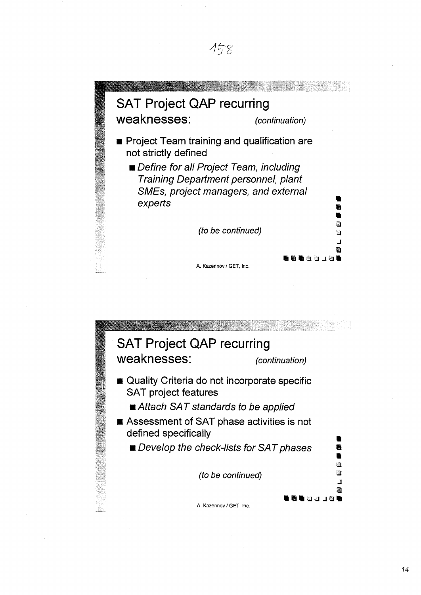

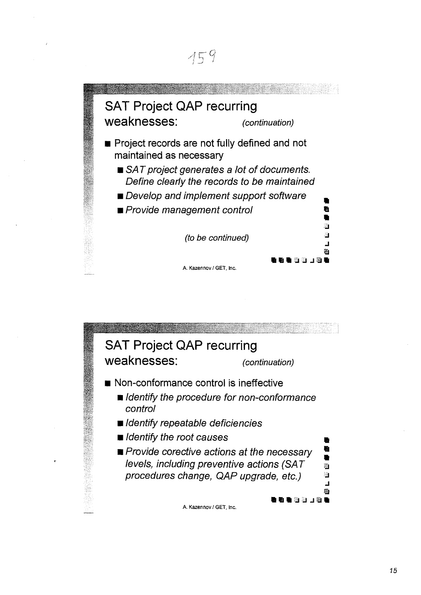

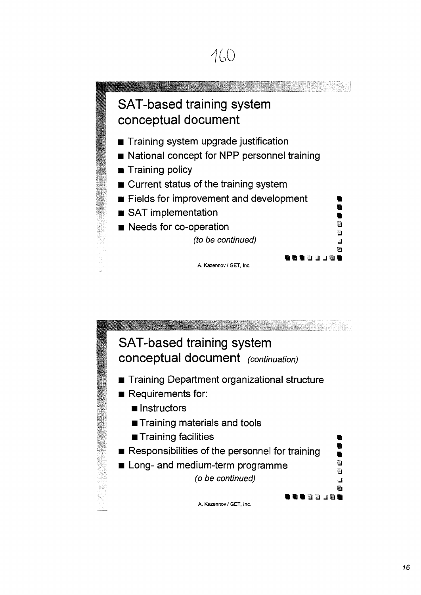

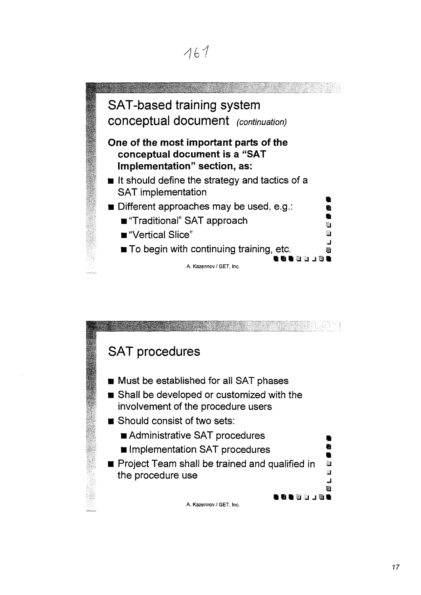

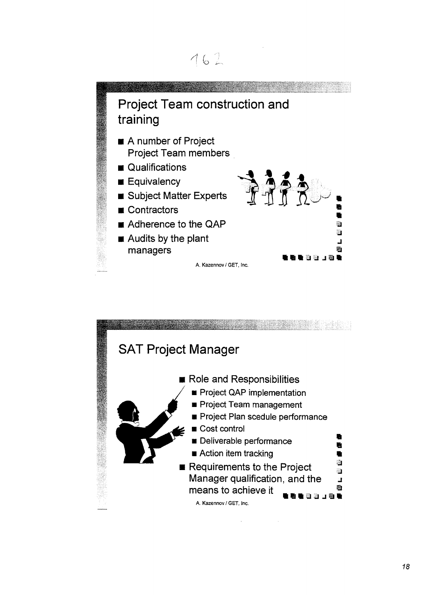

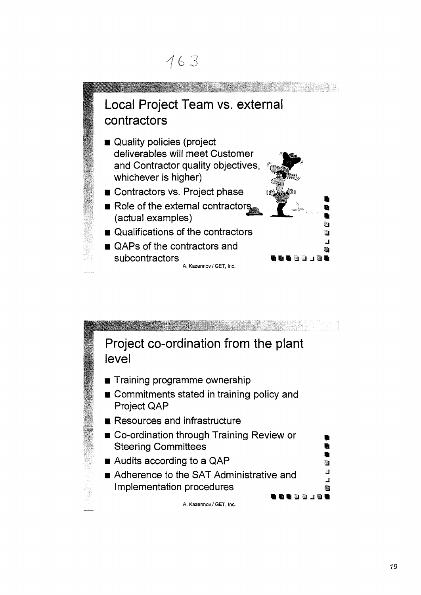